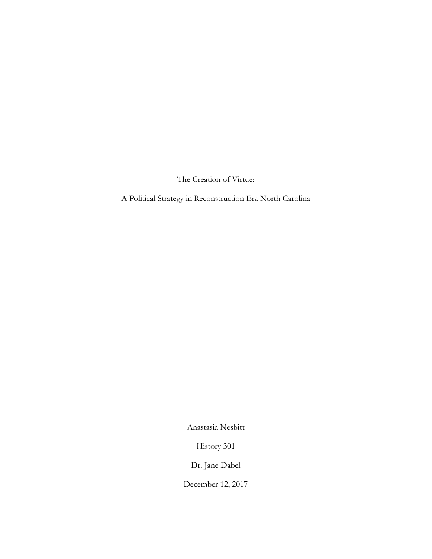The Creation of Virtue:

A Political Strategy in Reconstruction Era North Carolina

Anastasia Nesbitt

History 301

Dr. Jane Dabel

December 12, 2017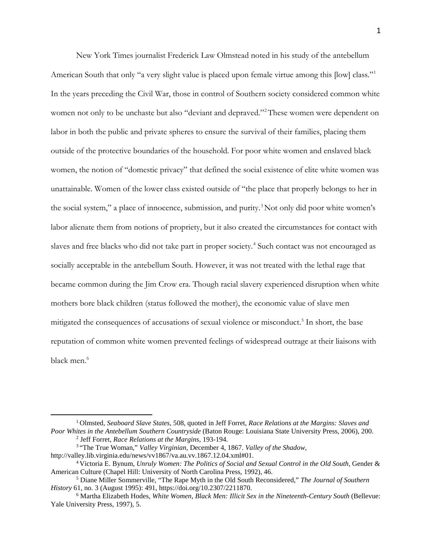New York Times journalist Frederick Law Olmstead noted in his study of the antebellum American South that only "a very slight value is placed upon female virtue among this [low] class."<sup>[1](#page-1-0)</sup> In the years preceding the Civil War, those in control of Southern society considered common white women not only to be unchaste but also "deviant and depraved."<sup>[2](#page-1-1)</sup> These women were dependent on labor in both the public and private spheres to ensure the survival of their families, placing them outside of the protective boundaries of the household. For poor white women and enslaved black women, the notion of "domestic privacy" that defined the social existence of elite white women was unattainable. Women of the lower class existed outside of "the place that properly belongs to her in the social system," a place of innocence, submission, and purity.<sup>[3](#page-1-2)</sup> Not only did poor white women's labor alienate them from notions of propriety, but it also created the circumstances for contact with slaves and free blacks who did not take part in proper society. [4](#page-1-3) Such contact was not encouraged as socially acceptable in the antebellum South. However, it was not treated with the lethal rage that became common during the Jim Crow era. Though racial slavery experienced disruption when white mothers bore black children (status followed the mother), the economic value of slave men mitigated the consequences of accusations of sexual violence or misconduct.<sup>[5](#page-1-4)</sup> In short, the base reputation of common white women prevented feelings of widespread outrage at their liaisons with black men.<sup>[6](#page-1-5)</sup>

<span id="page-1-0"></span><sup>1</sup> Olmsted, *Seaboard Slave States*, 508, quoted in Jeff Forret, *Race Relations at the Margins: Slaves and Poor Whites in the Antebellum Southern Countryside* (Baton Rouge: Louisiana State University Press, 2006), 200. <sup>2</sup> Jeff Forret, *Race Relations at the Margins*, 193-194.

<span id="page-1-2"></span><span id="page-1-1"></span><sup>&</sup>lt;sup>3</sup> "The True Woman," *Valley Virginian*, December 4, 1867. *Valley of the Shadow*, http://valley.lib.virginia.edu/news/vv1867/va.au.vv.1867.12.04.xml#01.

<span id="page-1-3"></span><sup>&</sup>lt;sup>4</sup> Victoria E. Bynum, *Unruly Women: The Politics of Social and Sexual Control in the Old South, Gender &* American Culture (Chapel Hill: University of North Carolina Press, 1992), 46.

<span id="page-1-4"></span><sup>5</sup> Diane Miller Sommerville, "The Rape Myth in the Old South Reconsidered," *The Journal of Southern History* 61, no. 3 (August 1995): 491, https://doi.org/10.2307/2211870.

<span id="page-1-5"></span><sup>6</sup> Martha Elizabeth Hodes, *White Women, Black Men: Illicit Sex in the Nineteenth-Century South* (Bellevue: Yale University Press, 1997), 5.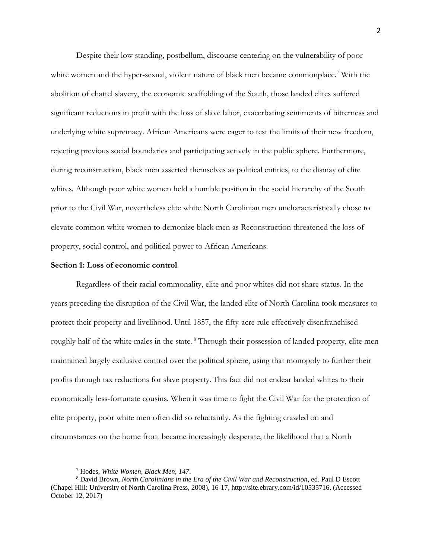Despite their low standing, postbellum, discourse centering on the vulnerability of poor white women and the hyper-sexual, violent nature of black men became commonplace.<sup>[7](#page-2-0)</sup> With the abolition of chattel slavery, the economic scaffolding of the South, those landed elites suffered significant reductions in profit with the loss of slave labor, exacerbating sentiments of bitterness and underlying white supremacy. African Americans were eager to test the limits of their new freedom, rejecting previous social boundaries and participating actively in the public sphere. Furthermore, during reconstruction, black men asserted themselves as political entities, to the dismay of elite whites. Although poor white women held a humble position in the social hierarchy of the South prior to the Civil War, nevertheless elite white North Carolinian men uncharacteristically chose to elevate common white women to demonize black men as Reconstruction threatened the loss of property, social control, and political power to African Americans.

## **Section 1: Loss of economic control**

Regardless of their racial commonality, elite and poor whites did not share status. In the years preceding the disruption of the Civil War, the landed elite of North Carolina took measures to protect their property and livelihood. Until 1857, the fifty-acre rule effectively disenfranchised roughly half of the white males in the state.<sup>[8](#page-2-1)</sup> Through their possession of landed property, elite men maintained largely exclusive control over the political sphere, using that monopoly to further their profits through tax reductions for slave property.This fact did not endear landed whites to their economically less-fortunate cousins. When it was time to fight the Civil War for the protection of elite property, poor white men often did so reluctantly. As the fighting crawled on and circumstances on the home front became increasingly desperate, the likelihood that a North

<sup>7</sup> Hodes, *White Women, Black Men, 147*.

<span id="page-2-1"></span><span id="page-2-0"></span><sup>8</sup> David Brown, *North Carolinians in the Era of the Civil War and Reconstruction*, ed. Paul D Escott (Chapel Hill: University of North Carolina Press, 2008), 16-17, http://site.ebrary.com/id/10535716. (Accessed October 12, 2017)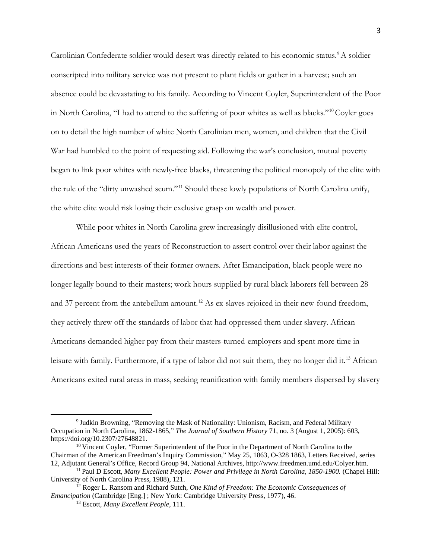Carolinian Confederate soldier would desert was directly related to his economic status.<sup>[9](#page-3-0)</sup>A soldier conscripted into military service was not present to plant fields or gather in a harvest; such an absence could be devastating to his family. According to Vincent Coyler, Superintendent of the Poor in North Carolina, "I had to attend to the suffering of poor whites as well as blacks."<sup>[10](#page-3-1)</sup> Coyler goes on to detail the high number of white North Carolinian men, women, and children that the Civil War had humbled to the point of requesting aid. Following the war's conclusion, mutual poverty began to link poor whites with newly-free blacks, threatening the political monopoly of the elite with the rule of the "dirty unwashed scum."[11](#page-3-2) Should these lowly populations of North Carolina unify, the white elite would risk losing their exclusive grasp on wealth and power.

While poor whites in North Carolina grew increasingly disillusioned with elite control, African Americans used the years of Reconstruction to assert control over their labor against the directions and best interests of their former owners. After Emancipation, black people were no longer legally bound to their masters; work hours supplied by rural black laborers fell between 28 and 37 percent from the antebellum amount.<sup>[12](#page-3-3)</sup> As ex-slaves rejoiced in their new-found freedom, they actively threw off the standards of labor that had oppressed them under slavery. African Americans demanded higher pay from their masters-turned-employers and spent more time in leisure with family. Furthermore, if a type of labor did not suit them, they no longer did it.<sup>[13](#page-3-4)</sup> African Americans exited rural areas in mass, seeking reunification with family members dispersed by slavery

<span id="page-3-0"></span><sup>9</sup> Judkin Browning, "Removing the Mask of Nationality: Unionism, Racism, and Federal Military Occupation in North Carolina, 1862-1865," *The Journal of Southern History* 71, no. 3 (August 1, 2005): 603, https://doi.org/10.2307/27648821.

<span id="page-3-1"></span><sup>&</sup>lt;sup>10</sup> Vincent Coyler, "Former Superintendent of the Poor in the Department of North Carolina to the Chairman of the American Freedman's Inquiry Commission," May 25, 1863, O-328 1863, Letters Received, series 12, Adjutant General's Office, Record Group 94, National Archives, http://www.freedmen.umd.edu/Colyer.htm.

<span id="page-3-2"></span><sup>11</sup> Paul D Escott, *Many Excellent People: Power and Privilege in North Carolina, 1850-1900.* (Chapel Hill: University of North Carolina Press, 1988), 121.

<span id="page-3-4"></span><span id="page-3-3"></span><sup>12</sup> Roger L. Ransom and Richard Sutch, *One Kind of Freedom: The Economic Consequences of Emancipation* (Cambridge [Eng.] ; New York: Cambridge University Press, 1977), 46.

<sup>13</sup> Escott, *Many Excellent People,* 111.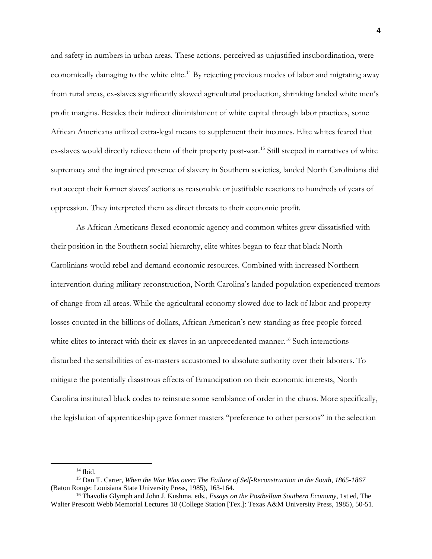and safety in numbers in urban areas. These actions, perceived as unjustified insubordination, were economically damaging to the white elite.<sup>[14](#page-4-0)</sup> By rejecting previous modes of labor and migrating away from rural areas, ex-slaves significantly slowed agricultural production, shrinking landed white men's profit margins. Besides their indirect diminishment of white capital through labor practices, some African Americans utilized extra-legal means to supplement their incomes. Elite whites feared that ex-slaves would directly relieve them of their property post-war.<sup>[15](#page-4-1)</sup> Still steeped in narratives of white supremacy and the ingrained presence of slavery in Southern societies, landed North Carolinians did not accept their former slaves' actions as reasonable or justifiable reactions to hundreds of years of oppression. They interpreted them as direct threats to their economic profit.

 As African Americans flexed economic agency and common whites grew dissatisfied with their position in the Southern social hierarchy, elite whites began to fear that black North Carolinians would rebel and demand economic resources. Combined with increased Northern intervention during military reconstruction, North Carolina's landed population experienced tremors of change from all areas. While the agricultural economy slowed due to lack of labor and property losses counted in the billions of dollars, African American's new standing as free people forced white elites to interact with their ex-slaves in an unprecedented manner.<sup>[16](#page-4-2)</sup> Such interactions disturbed the sensibilities of ex-masters accustomed to absolute authority over their laborers. To mitigate the potentially disastrous effects of Emancipation on their economic interests, North Carolina instituted black codes to reinstate some semblance of order in the chaos. More specifically, the legislation of apprenticeship gave former masters "preference to other persons" in the selection

<span id="page-4-1"></span><span id="page-4-0"></span><sup>&</sup>lt;sup>14</sup> Ibid.<br><sup>15</sup> Dan T. Carter, *When the War Was over: The Failure of Self-Reconstruction in the South, 1865-1867* (Baton Rouge: Louisiana State University Press, 1985), 163-164.

<span id="page-4-2"></span><sup>16</sup> Thavolia Glymph and John J. Kushma, eds., *Essays on the Postbellum Southern Economy*, 1st ed, The Walter Prescott Webb Memorial Lectures 18 (College Station [Tex.]: Texas A&M University Press, 1985), 50-51.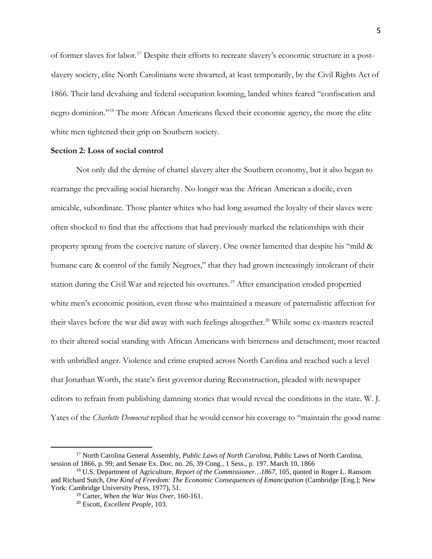of former slaves for labor.[17](#page-5-0) Despite their efforts to recreate slavery's economic structure in a postslavery society, elite North Carolinians were thwarted, at least temporarily, by the Civil Rights Act of 1866. Their land devaluing and federal occupation looming, landed whites feared "confiscation and negro dominion."[18](#page-5-1) The more African Americans flexed their economic agency, the more the elite white men tightened their grip on Southern society.

# **Section 2: Loss of social control**

Not only did the demise of chattel slavery alter the Southern economy, but it also began to rearrange the prevailing social hierarchy. No longer was the African American a docile, even amicable, subordinate. Those planter whites who had long assumed the loyalty of their slaves were often shocked to find that the affections that had previously marked the relationships with their property sprang from the coercive nature of slavery. One owner lamented that despite his "mild & humane care & control of the family Negroes," that they had grown increasingly intolerant of their station during the Civil War and rejected his overtures. [19](#page-5-2) After emancipation eroded propertied white men's economic position, even those who maintained a measure of paternalistic affection for their slaves before the war did away with such feelings altogether.<sup>[20](#page-5-3)</sup> While some ex-masters reacted to their altered social standing with African Americans with bitterness and detachment, most reacted with unbridled anger. Violence and crime erupted across North Carolina and reached such a level that Jonathan Worth, the state's first governor during Reconstruction, pleaded with newspaper editors to refrain from publishing damning stories that would reveal the conditions in the state. W. J. Yates of the *Charlotte Democrat* replied that he would censor his coverage to "maintain the good name

<span id="page-5-0"></span><sup>17</sup> North Carolina General Assembly, *Public Laws of North Carolina*, Public Laws of North Carolina, session of 1866, p. 99; and Senate Ex. Doc. no. 26, 39 Cong., 1 Sess., p. 197. March 10, 1866

<span id="page-5-3"></span><span id="page-5-2"></span><span id="page-5-1"></span><sup>18</sup> U.S. Department of Agriculture, *Report of the Commissioner…1867,* 105, quoted in Roger L. Ransom and Richard Sutch, *One Kind of Freedom: The Economic Consequences of Emancipation* (Cambridge [Eng.]; New York: Cambridge University Press, 1977), 51.

<sup>19</sup> Carter, *When the War Was Over,* 160-161.

<sup>20</sup> Escott, *Excellent People,* 103.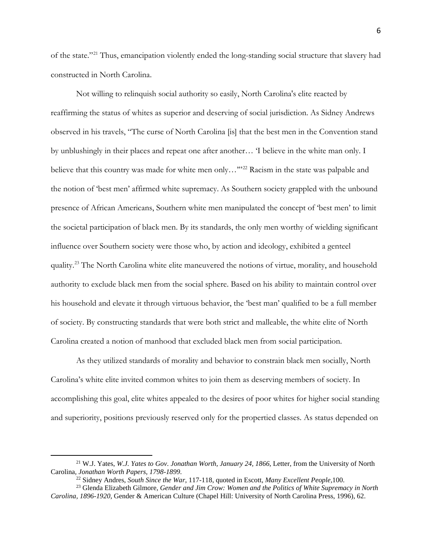of the state."[21](#page-6-0) Thus, emancipation violently ended the long-standing social structure that slavery had constructed in North Carolina.

Not willing to relinquish social authority so easily, North Carolina's elite reacted by reaffirming the status of whites as superior and deserving of social jurisdiction. As Sidney Andrews observed in his travels, "The curse of North Carolina [is] that the best men in the Convention stand by unblushingly in their places and repeat one after another… 'I believe in the white man only. I believe that this country was made for white men only..."<sup>[22](#page-6-1)</sup> Racism in the state was palpable and the notion of 'best men' affirmed white supremacy. As Southern society grappled with the unbound presence of African Americans, Southern white men manipulated the concept of 'best men' to limit the societal participation of black men. By its standards, the only men worthy of wielding significant influence over Southern society were those who, by action and ideology, exhibited a genteel quality.<sup>[23](#page-6-2)</sup> The North Carolina white elite maneuvered the notions of virtue, morality, and household authority to exclude black men from the social sphere. Based on his ability to maintain control over his household and elevate it through virtuous behavior, the 'best man' qualified to be a full member of society. By constructing standards that were both strict and malleable, the white elite of North Carolina created a notion of manhood that excluded black men from social participation.

As they utilized standards of morality and behavior to constrain black men socially, North Carolina's white elite invited common whites to join them as deserving members of society. In accomplishing this goal, elite whites appealed to the desires of poor whites for higher social standing and superiority, positions previously reserved only for the propertied classes. As status depended on

<span id="page-6-0"></span><sup>21</sup> W.J. Yates, *W.J. Yates to Gov. Jonathan Worth, January 24, 1866*, Letter, from the University of North Carolina, *Jonathan Worth Papers, 1798-1899*.

<span id="page-6-2"></span><span id="page-6-1"></span><sup>&</sup>lt;sup>23</sup> Glenda Elizabeth Gilmore, *Gender and Jim Crow: Women and the Politics of White Supremacy in North Carolina, 1896-1920*, Gender & American Culture (Chapel Hill: University of North Carolina Press, 1996), 62.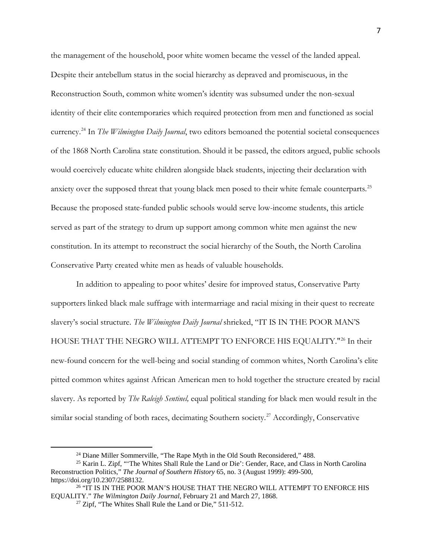the management of the household, poor white women became the vessel of the landed appeal. Despite their antebellum status in the social hierarchy as depraved and promiscuous, in the Reconstruction South, common white women's identity was subsumed under the non-sexual identity of their elite contemporaries which required protection from men and functioned as social currency. [24](#page-7-0) In *The Wilmington Daily Journal*, two editors bemoaned the potential societal consequences of the 1868 North Carolina state constitution. Should it be passed, the editors argued, public schools would coercively educate white children alongside black students, injecting their declaration with anxiety over the supposed threat that young black men posed to their white female counterparts.<sup>[25](#page-7-1)</sup> Because the proposed state-funded public schools would serve low-income students, this article served as part of the strategy to drum up support among common white men against the new constitution. In its attempt to reconstruct the social hierarchy of the South, the North Carolina Conservative Party created white men as heads of valuable households.

In addition to appealing to poor whites' desire for improved status, Conservative Party supporters linked black male suffrage with intermarriage and racial mixing in their quest to recreate slavery's social structure. *The Wilmington Daily Journal* shrieked, "IT IS IN THE POOR MAN'S HOUSE THAT THE NEGRO WILL ATTEMPT TO ENFORCE HIS EQUALITY."<sup>[26](#page-7-2)</sup> In their new-found concern for the well-being and social standing of common whites, North Carolina's elite pitted common whites against African American men to hold together the structure created by racial slavery. As reported by *The Raleigh Sentinel,* equal political standing for black men would result in the similar social standing of both races, decimating Southern society.<sup>[27](#page-7-3)</sup> Accordingly, Conservative

<sup>&</sup>lt;sup>24</sup> Diane Miller Sommerville, "The Rape Myth in the Old South Reconsidered," 488.

<span id="page-7-1"></span><span id="page-7-0"></span><sup>25</sup> Karin L. Zipf, "'The Whites Shall Rule the Land or Die': Gender, Race, and Class in North Carolina Reconstruction Politics," *The Journal of Southern History* 65, no. 3 (August 1999): 499-500, https://doi.org/10.2307/2588132.

<span id="page-7-3"></span><span id="page-7-2"></span><sup>&</sup>lt;sup>26</sup> "IT IS IN THE POOR MAN'S HOUSE THAT THE NEGRO WILL ATTEMPT TO ENFORCE HIS EQUALITY." *The Wilmington Daily Journal*, February 21 and March 27, 1868.

<sup>&</sup>lt;sup>27</sup> Zipf, "The Whites Shall Rule the Land or Die," 511-512.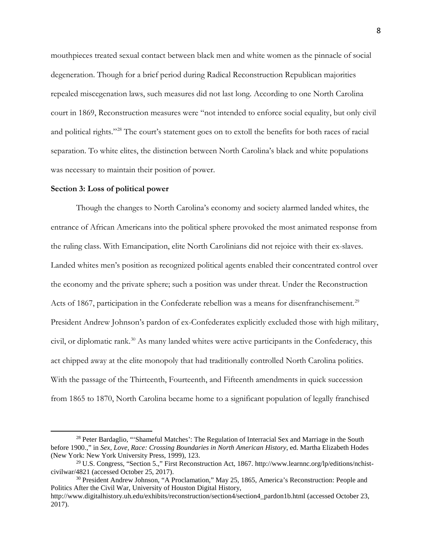mouthpieces treated sexual contact between black men and white women as the pinnacle of social degeneration. Though for a brief period during Radical Reconstruction Republican majorities repealed miscegenation laws, such measures did not last long. According to one North Carolina court in 1869, Reconstruction measures were "not intended to enforce social equality, but only civil and political rights."[28](#page-8-0) The court's statement goes on to extoll the benefits for both races of racial separation. To white elites, the distinction between North Carolina's black and white populations was necessary to maintain their position of power.

#### **Section 3: Loss of political power**

 $\overline{a}$ 

Though the changes to North Carolina's economy and society alarmed landed whites, the entrance of African Americans into the political sphere provoked the most animated response from the ruling class. With Emancipation, elite North Carolinians did not rejoice with their ex-slaves. Landed whites men's position as recognized political agents enabled their concentrated control over the economy and the private sphere; such a position was under threat. Under the Reconstruction Acts of 1867, participation in the Confederate rebellion was a means for disenfranchisement.<sup>[29](#page-8-1)</sup> President Andrew Johnson's pardon of ex-Confederates explicitly excluded those with high military, civil, or diplomatic rank.<sup>[30](#page-8-2)</sup> As many landed whites were active participants in the Confederacy, this act chipped away at the elite monopoly that had traditionally controlled North Carolina politics. With the passage of the Thirteenth, Fourteenth, and Fifteenth amendments in quick succession from 1865 to 1870, North Carolina became home to a significant population of legally franchised

<span id="page-8-0"></span><sup>&</sup>lt;sup>28</sup> Peter Bardaglio, "'Shameful Matches': The Regulation of Interracial Sex and Marriage in the South before 1900.," in *Sex, Love, Race: Crossing Boundaries in North American History*, ed. Martha Elizabeth Hodes (New York: New York University Press, 1999), 123.

<span id="page-8-1"></span><sup>29</sup> U.S. Congress, "Section 5.," First Reconstruction Act, 1867. http://www.learnnc.org/lp/editions/nchistcivilwar/4821 (accessed October 25, 2017). 30 President Andrew Johnson, "A Proclamation," May 25, 1865, America's Reconstruction: People and

<span id="page-8-2"></span>Politics After the Civil War, University of Houston Digital History,

http://www.digitalhistory.uh.edu/exhibits/reconstruction/section4/section4\_pardon1b.html (accessed October 23, 2017).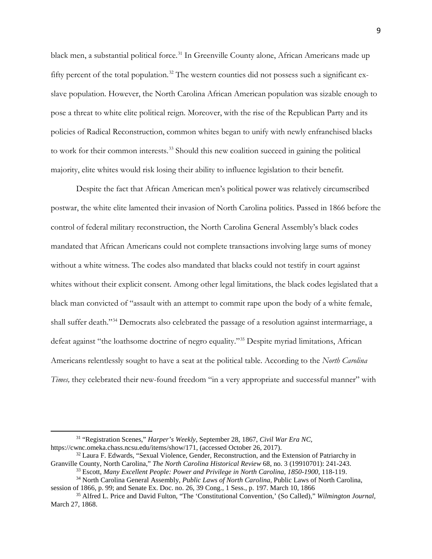black men, a substantial political force.<sup>[31](#page-9-0)</sup> In Greenville County alone, African Americans made up fifty percent of the total population.<sup>[32](#page-9-1)</sup> The western counties did not possess such a significant exslave population. However, the North Carolina African American population was sizable enough to pose a threat to white elite political reign. Moreover, with the rise of the Republican Party and its policies of Radical Reconstruction, common whites began to unify with newly enfranchised blacks to work for their common interests.<sup>[33](#page-9-2)</sup> Should this new coalition succeed in gaining the political majority, elite whites would risk losing their ability to influence legislation to their benefit.

Despite the fact that African American men's political power was relatively circumscribed postwar, the white elite lamented their invasion of North Carolina politics. Passed in 1866 before the control of federal military reconstruction, the North Carolina General Assembly's black codes mandated that African Americans could not complete transactions involving large sums of money without a white witness. The codes also mandated that blacks could not testify in court against whites without their explicit consent. Among other legal limitations, the black codes legislated that a black man convicted of "assault with an attempt to commit rape upon the body of a white female, shall suffer death."<sup>[34](#page-9-3)</sup> Democrats also celebrated the passage of a resolution against intermarriage, a defeat against "the loathsome doctrine of negro equality.["35](#page-9-4) Despite myriad limitations, African Americans relentlessly sought to have a seat at the political table. According to the *North Carolina Times,* they celebrated their new-found freedom "in a very appropriate and successful manner" with

<span id="page-9-0"></span><sup>&</sup>lt;sup>31</sup> "Registration Scenes," *Harper's Weekly*, September 28, 1867, *Civil War Era NC*, https://cwnc.omeka.chass.ncsu.edu/items/show/171, (accessed October 26, 2017).

<span id="page-9-1"></span><sup>&</sup>lt;sup>32</sup> Laura F. Edwards, "Sexual Violence, Gender, Reconstruction, and the Extension of Patriarchy in Granville County, North Carolina," *The North Carolina Historical Review* 68, no. 3 (19910701): 241-243.

<sup>33</sup> Escott, *Many Excellent People: Power and Privilege in North Carolina, 1850-1900,* 118-119. <sup>34</sup> North Carolina General Assembly, *Public Laws of North Carolina*, Public Laws of North Carolina,

<span id="page-9-3"></span><span id="page-9-2"></span>session of 1866, p. 99; and Senate Ex. Doc. no. 26, 39 Cong., 1 Sess., p. 197. March 10, 1866

<span id="page-9-4"></span><sup>35</sup> Alfred L. Price and David Fulton, "The 'Constitutional Convention,' (So Called)," *Wilmington Journal,*  March 27, 1868.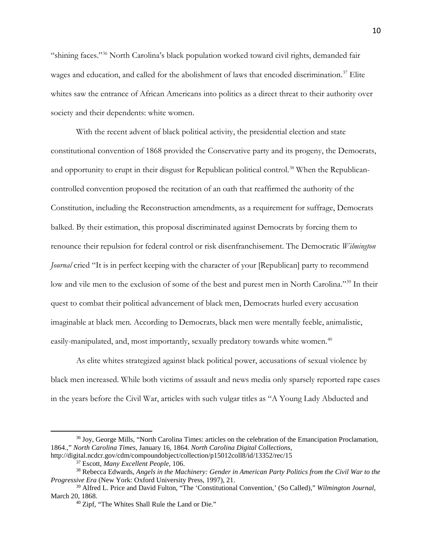"shining faces."[36](#page-10-0) North Carolina's black population worked toward civil rights, demanded fair wages and education, and called for the abolishment of laws that encoded discrimination.<sup>[37](#page-10-1)</sup> Elite whites saw the entrance of African Americans into politics as a direct threat to their authority over society and their dependents: white women.

With the recent advent of black political activity, the presidential election and state constitutional convention of 1868 provided the Conservative party and its progeny, the Democrats, and opportunity to erupt in their disgust for Republican political control.<sup>[38](#page-10-2)</sup> When the Republicancontrolled convention proposed the recitation of an oath that reaffirmed the authority of the Constitution, including the Reconstruction amendments, as a requirement for suffrage, Democrats balked. By their estimation, this proposal discriminated against Democrats by forcing them to renounce their repulsion for federal control or risk disenfranchisement. The Democratic *Wilmington Journal* cried "It is in perfect keeping with the character of your [Republican] party to recommend low and vile men to the exclusion of some of the best and purest men in North Carolina."<sup>[39](#page-10-3)</sup> In their quest to combat their political advancement of black men, Democrats hurled every accusation imaginable at black men. According to Democrats, black men were mentally feeble, animalistic, easily-manipulated, and, most importantly, sexually predatory towards white women.<sup>[40](#page-10-4)</sup>

As elite whites strategized against black political power, accusations of sexual violence by black men increased. While both victims of assault and news media only sparsely reported rape cases in the years before the Civil War, articles with such vulgar titles as "A Young Lady Abducted and

<span id="page-10-0"></span><sup>36</sup> Joy, George Mills, "North Carolina Times: articles on the celebration of the Emancipation Proclamation, 1864.," *North Carolina Times*, January 16, 1864. *North Carolina Digital Collections*, http://digital.ncdcr.gov/cdm/compoundobject/collection/p15012coll8/id/13352/rec/15

<sup>37</sup> Escott, *Many Excellent People,* 106.

<span id="page-10-2"></span><span id="page-10-1"></span><sup>38</sup> Rebecca Edwards, *Angels in the Machinery: Gender in American Party Politics from the Civil War to the Progressive Era* (New York: Oxford University Press, 1997), 21.

<span id="page-10-4"></span><span id="page-10-3"></span><sup>39</sup> Alfred L. Price and David Fulton, "The 'Constitutional Convention,' (So Called)," *Wilmington Journal,*  March 20, 1868.

<sup>40</sup> Zipf, "The Whites Shall Rule the Land or Die."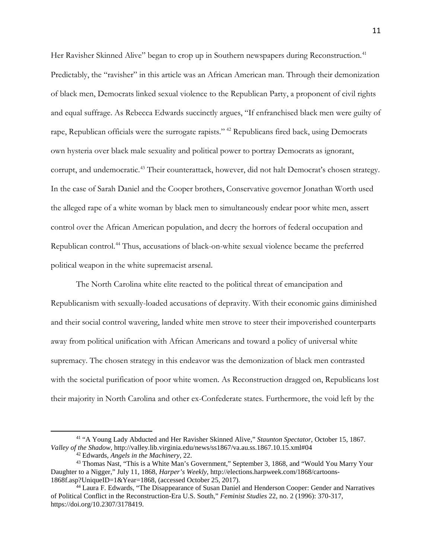Her Ravisher Skinned Alive" began to crop up in Southern newspapers during Reconstruction.<sup>[41](#page-11-0)</sup> Predictably, the "ravisher" in this article was an African American man. Through their demonization of black men, Democrats linked sexual violence to the Republican Party, a proponent of civil rights and equal suffrage. As Rebecca Edwards succinctly argues, "If enfranchised black men were guilty of rape, Republican officials were the surrogate rapists." [42](#page-11-1) Republicans fired back, using Democrats own hysteria over black male sexuality and political power to portray Democrats as ignorant, corrupt, and undemocratic.<sup>[43](#page-11-2)</sup> Their counterattack, however, did not halt Democrat's chosen strategy. In the case of Sarah Daniel and the Cooper brothers, Conservative governor Jonathan Worth used the alleged rape of a white woman by black men to simultaneously endear poor white men, assert control over the African American population, and decry the horrors of federal occupation and Republican control.<sup>[44](#page-11-3)</sup> Thus, accusations of black-on-white sexual violence became the preferred political weapon in the white supremacist arsenal.

The North Carolina white elite reacted to the political threat of emancipation and Republicanism with sexually-loaded accusations of depravity. With their economic gains diminished and their social control wavering, landed white men strove to steer their impoverished counterparts away from political unification with African Americans and toward a policy of universal white supremacy. The chosen strategy in this endeavor was the demonization of black men contrasted with the societal purification of poor white women. As Reconstruction dragged on, Republicans lost their majority in North Carolina and other ex-Confederate states. Furthermore, the void left by the

<span id="page-11-0"></span><sup>41</sup> "A Young Lady Abducted and Her Ravisher Skinned Alive," *Staunton Spectator*, October 15, 1867. *Valley of the Shadow*, http://valley.lib.virginia.edu/news/ss1867/va.au.ss.1867.10.15.xml#04

<span id="page-11-2"></span><span id="page-11-1"></span><sup>&</sup>lt;sup>42</sup> Edwards, *Angels in the Machinery*, 22.<br><sup>43</sup> Thomas Nast, "This is a White Man's Government," September 3, 1868, and "Would You Marry Your Daughter to a Nigger," July 11, 1868, *Harper's Weekly,* http://elections.harpweek.com/1868/cartoons-1868f.asp?UniqueID=1&Year=1868, (accessed October 25, 2017). 44 Laura F. Edwards, "The Disappearance of Susan Daniel and Henderson Cooper: Gender and Narratives

<span id="page-11-3"></span>of Political Conflict in the Reconstruction-Era U.S. South," *Feminist Studies* 22, no. 2 (1996): 370-317, https://doi.org/10.2307/3178419.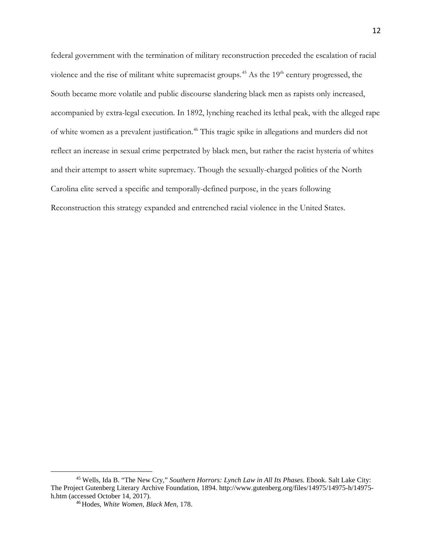federal government with the termination of military reconstruction preceded the escalation of racial violence and the rise of militant white supremacist groups.<sup>[45](#page-12-0)</sup> As the  $19<sup>th</sup>$  century progressed, the South became more volatile and public discourse slandering black men as rapists only increased, accompanied by extra-legal execution. In 1892, lynching reached its lethal peak, with the alleged rape of white women as a prevalent justification. [46](#page-12-1) This tragic spike in allegations and murders did not reflect an increase in sexual crime perpetrated by black men, but rather the racist hysteria of whites and their attempt to assert white supremacy. Though the sexually-charged politics of the North Carolina elite served a specific and temporally-defined purpose, in the years following Reconstruction this strategy expanded and entrenched racial violence in the United States.

<span id="page-12-1"></span><span id="page-12-0"></span><sup>45</sup> Wells, Ida B. "The New Cry," *Southern Horrors: Lynch Law in All Its Phases.* Ebook. Salt Lake City: The Project Gutenberg Literary Archive Foundation, 1894. http://www.gutenberg.org/files/14975/14975-h/14975 h.htm (accessed October 14, 2017).

<sup>46</sup> Hodes, *White Women, Black Men,* 178.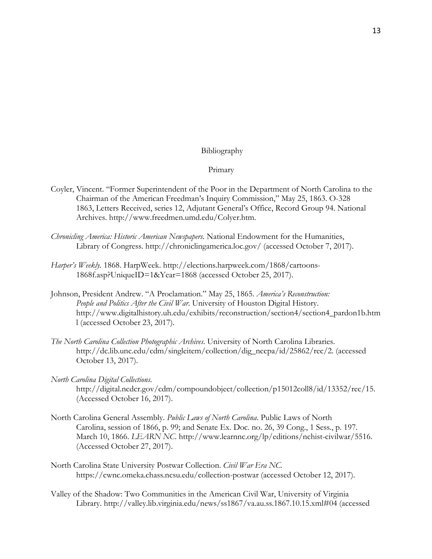# Bibliography

#### Primary

- Coyler, Vincent. "Former Superintendent of the Poor in the Department of North Carolina to the Chairman of the American Freedman's Inquiry Commission," May 25, 1863. O-328 1863, Letters Received, series 12, Adjutant General's Office, Record Group 94. National Archives. http://www.freedmen.umd.edu/Colyer.htm.
- *Chronicling America: Historic American Newspapers.* National Endowment for the Humanities, Library of Congress. http://chroniclingamerica.loc.gov/ (accessed October 7, 2017).
- *Harper's Weekly.* 1868. HarpWeek. http://elections.harpweek.com/1868/cartoons-1868f.asp?UniqueID=1&Year=1868 (accessed October 25, 2017).
- Johnson, President Andrew. "A Proclamation." May 25, 1865. *America's Reconstruction: People and Politics After the Civil War*. University of Houston Digital History. http://www.digitalhistory.uh.edu/exhibits/reconstruction/section4/section4\_pardon1b.htm l (accessed October 23, 2017).
- *The North Carolina Collection Photographic Archives*. University of North Carolina Libraries. http://dc.lib.unc.edu/cdm/singleitem/collection/dig\_nccpa/id/25862/rec/2. (accessed October 13, 2017).
- *North Carolina Digital Collections*. http://digital.ncdcr.gov/cdm/compoundobject/collection/p15012coll8/id/13352/rec/15. (Accessed October 16, 2017).
- North Carolina General Assembly. *Public Laws of North Carolina*. Public Laws of North Carolina, session of 1866, p. 99; and Senate Ex. Doc. no. 26, 39 Cong., 1 Sess., p. 197. March 10, 1866. *LEARN NC*. http://www.learnnc.org/lp/editions/nchist-civilwar/5516. (Accessed October 27, 2017).
- North Carolina State University Postwar Collection. *Civil War Era NC.*  https://cwnc.omeka.chass.ncsu.edu/collection-postwar (accessed October 12, 2017).
- Valley of the Shadow: Two Communities in the American Civil War, University of Virginia Library. http://valley.lib.virginia.edu/news/ss1867/va.au.ss.1867.10.15.xml#04 (accessed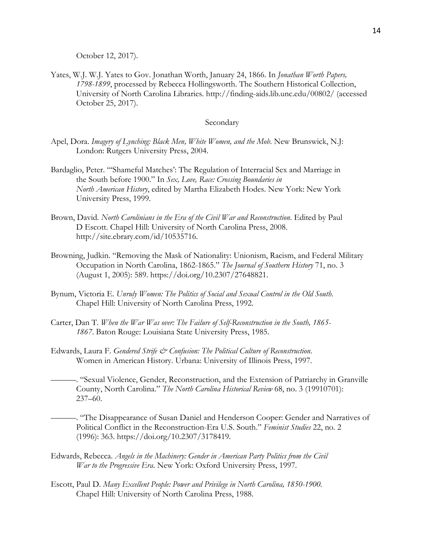October 12, 2017).

Yates, W.J. W.J. Yates to Gov. Jonathan Worth, January 24, 1866. In *Jonathan Worth Papers, 1798-1899*, processed by Rebecca Hollingsworth. The Southern Historical Collection, University of North Carolina Libraries. http://finding-aids.lib.unc.edu/00802/ (accessed October 25, 2017).

# Secondary

- Apel, Dora. *Imagery of Lynching: Black Men, White Women, and the Mob*. New Brunswick, N.J: London: Rutgers University Press, 2004.
- Bardaglio, Peter. "'Shameful Matches': The Regulation of Interracial Sex and Marriage in the South before 1900." In *Sex, Love, Race: Crossing Boundaries in North American History*, edited by Martha Elizabeth Hodes. New York: New York University Press, 1999.
- Brown, David. *North Carolinians in the Era of the Civil War and Reconstruction*. Edited by Paul D Escott. Chapel Hill: University of North Carolina Press, 2008. http://site.ebrary.com/id/10535716.
- Browning, Judkin. "Removing the Mask of Nationality: Unionism, Racism, and Federal Military Occupation in North Carolina, 1862-1865." *The Journal of Southern History* 71, no. 3 (August 1, 2005): 589. https://doi.org/10.2307/27648821.
- Bynum, Victoria E. *Unruly Women: The Politics of Social and Sexual Control in the Old South.*  Chapel Hill: University of North Carolina Press, 1992.
- Carter, Dan T. *When the War Was over: The Failure of Self-Reconstruction in the South, 1865- 1867*. Baton Rouge: Louisiana State University Press, 1985.
- Edwards, Laura F. *Gendered Strife & Confusion: The Political Culture of Reconstruction*. Women in American History. Urbana: University of Illinois Press, 1997.

———. "Sexual Violence, Gender, Reconstruction, and the Extension of Patriarchy in Granville County, North Carolina." *The North Carolina Historical Review* 68, no. 3 (19910701): 237–60.

- ———. "The Disappearance of Susan Daniel and Henderson Cooper: Gender and Narratives of Political Conflict in the Reconstruction-Era U.S. South." *Feminist Studies* 22, no. 2 (1996): 363. https://doi.org/10.2307/3178419.
- Edwards, Rebecca. *Angels in the Machinery: Gender in American Party Politics from the Civil War to the Progressive Era*. New York: Oxford University Press, 1997.
- Escott, Paul D. *Many Excellent People: Power and Privilege in North Carolina, 1850-1900.* Chapel Hill: University of North Carolina Press, 1988.